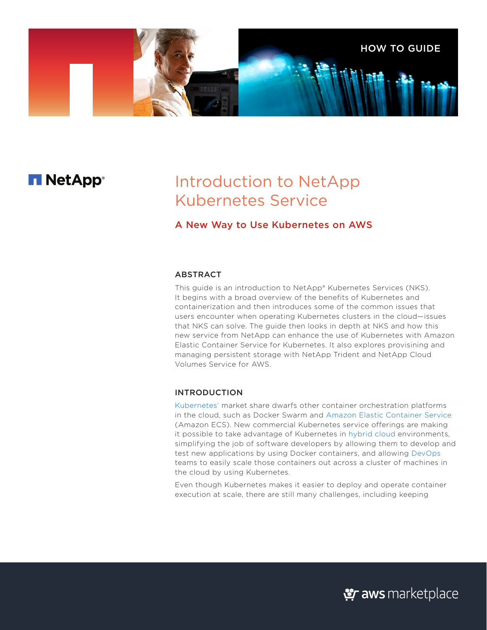

# **T NetApp**®

# Introduction to NetApp Kubernetes Service

## A New Way to Use Kubernetes on AWS

### ABSTRACT

This guide is an introduction to [NetApp® Kubernetes Services](https://cloud.netapp.com/kubernetes-service) (NKS). It begins with a broad overview of the benefits of Kubernetes and containerization and then introduces some of the common issues that users encounter when operating Kubernetes clusters in the cloud—issues that NKS can solve. The guide then looks in depth at NKS and how this new service from NetApp can enhance the use of Kubernetes with Amazon Elastic Container Service for Kubernetes. It also explores provisining and managing persistent storage with NetApp Trident and NetApp Cloud Volumes Service for AWS.

#### INTRODUCTION

[Kubernetes'](https://cloud.netapp.com/kubernetes-hub) market share dwarfs other container orchestration platforms in the cloud, such as Docker Swarm and [Amazon Elastic Container Service](https://aws.amazon.com/ecs/) (Amazon ECS). New commercial Kubernetes service offerings are making it possible to take advantage of Kubernetes in [hybrid cloud](https://www.netapp.com/us/info/what-is-hybrid-cloud.aspx) environments, simplifying the job of software developers by allowing them to develop and test new applications by using Docker containers, and allowing [DevOps](https://www.netapp.com/us/info/what-is-devops.aspx) teams to easily scale those containers out across a cluster of machines in the cloud by using Kubernetes.

Even though Kubernetes makes it easier to deploy and operate container execution at scale, there are still many challenges, including keeping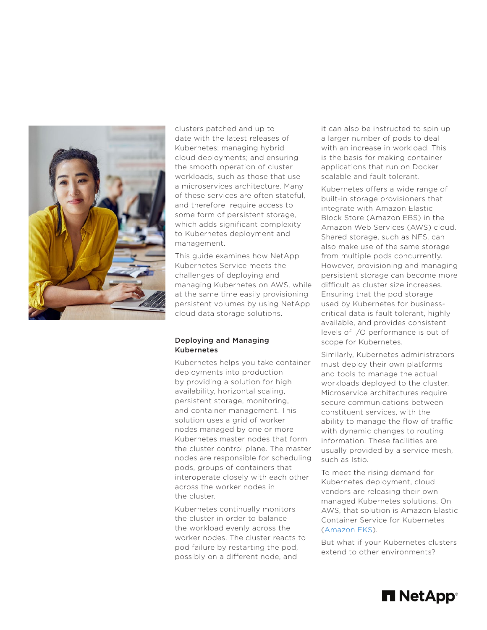

clusters patched and up to date with the latest releases of Kubernetes; managing hybrid cloud deployments; and ensuring the smooth operation of cluster workloads, such as those that use a microservices architecture. Many of these services are often stateful, and therefore require access to some form of persistent storage, which adds significant complexity to Kubernetes deployment and management.

This guide examines how NetApp Kubernetes Service meets the challenges of deploying and managing Kubernetes on AWS, while at the same time easily provisioning persistent volumes by using NetApp cloud data storage solutions.

#### Deploying and Managing Kubernetes

Kubernetes helps you take container deployments into production by providing a solution for high availability, horizontal scaling, persistent storage, monitoring, and container management. This solution uses a grid of worker nodes managed by one or more Kubernetes master nodes that form the cluster control plane. The master nodes are responsible for scheduling pods, groups of containers that interoperate closely with each other across the worker nodes in the cluster.

Kubernetes continually monitors the cluster in order to balance the workload evenly across the worker nodes. The cluster reacts to pod failure by restarting the pod, possibly on a different node, and

it can also be instructed to spin up a larger number of pods to deal with an increase in workload. This is the basis for making container applications that run on Docker scalable and fault tolerant.

Kubernetes offers a wide range of built-in storage provisioners that integrate with Amazon Elastic Block Store (Amazon EBS) in the Amazon Web Services (AWS) cloud. Shared storage, such as NFS, can also make use of the same storage from multiple pods concurrently. However, provisioning and managing persistent storage can become more difficult as cluster size increases. Ensuring that the pod storage used by Kubernetes for businesscritical data is fault tolerant, highly available, and provides consistent levels of I/O performance is out of scope for Kubernetes.

Similarly, Kubernetes administrators must deploy their own platforms and tools to manage the actual workloads deployed to the cluster. Microservice architectures require secure communications between constituent services, with the ability to manage the flow of traffic with dynamic changes to routing information. These facilities are usually provided by a service mesh, such as Istio.

To meet the rising demand for Kubernetes deployment, cloud vendors are releasing their own managed Kubernetes solutions. On AWS, that solution is Amazon Elastic Container Service for Kubernetes ([Amazon EKS\)](https://aws.amazon.com/eks/).

But what if your Kubernetes clusters extend to other environments?

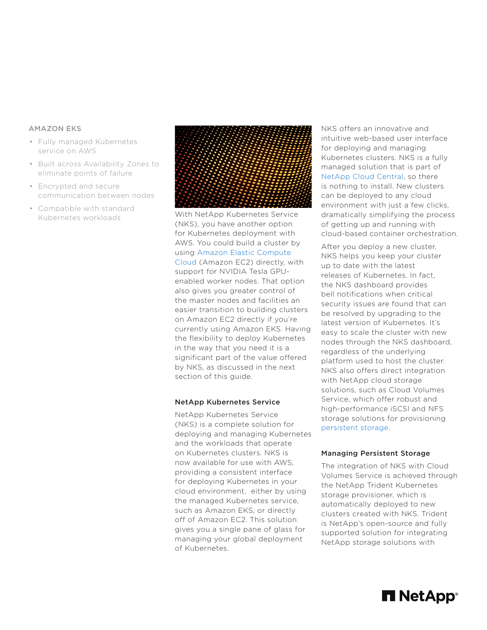#### AMAZON EKS

- Fully managed Kubernetes service on AWS
- Built across Availability Zones to eliminate points of failure
- Encrypted and secure communication between nodes
- Compatible with standard



Kubernetes workloads With NetApp Kubernetes Service (NKS), you have another option for Kubernetes deployment with AWS. You could build a cluster by using [Amazon Elastic Compute](https://aws.amazon.com/ec2/)  [Cloud](https://aws.amazon.com/ec2/) (Amazon EC2) directly, with support for NVIDIA Tesla GPUenabled worker nodes. That option also gives you greater control of the master nodes and facilities an easier transition to building clusters on Amazon EC2 directly if you're currently using Amazon EKS. Having the flexibility to deploy Kubernetes in the way that you need it is a significant part of the value offered by NKS, as discussed in the next section of this guide.

#### NetApp Kubernetes Service

NetApp Kubernetes Service (NKS) is a complete solution for deploying and managing Kubernetes and the workloads that operate on Kubernetes clusters. NKS is now available for use with AWS, providing a consistent interface for deploying Kubernetes in your cloud environment, either by using the managed Kubernetes service, such as Amazon EKS, or directly off of Amazon EC2. This solution gives you a single pane of glass for managing your global deployment of Kubernetes.

NKS offers an innovative and intuitive web-based user interface for deploying and managing Kubernetes clusters. NKS is a fully managed solution that is part of [NetApp Cloud Central,](https://cloud.netapp.com/home) so there is nothing to install. New clusters can be deployed to any cloud environment with just a few clicks, dramatically simplifying the process of getting up and running with cloud-based container orchestration.

After you deploy a new cluster, NKS helps you keep your cluster up to date with the latest releases of Kubernetes. In fact, the NKS dashboard provides bell notifications when critical security issues are found that can be resolved by upgrading to the latest version of Kubernetes. It's easy to scale the cluster with new nodes through the NKS dashboard, regardless of the underlying platform used to host the cluster. NKS also offers direct integration with NetApp cloud storage solutions, such as Cloud Volumes Service, which offer robust and high-performance iSCSI and NFS storage solutions for provisioning [persistent storage.](https://www.netapp.com/us/info/what-is-persistent-storage.aspx)

#### Managing Persistent Storage

The integration of NKS with Cloud Volumes Service is achieved through the NetApp Trident Kubernetes storage provisioner, which is automatically deployed to new clusters created with NKS. Trident is NetApp's open-source and fully supported solution for integrating NetApp storage solutions with

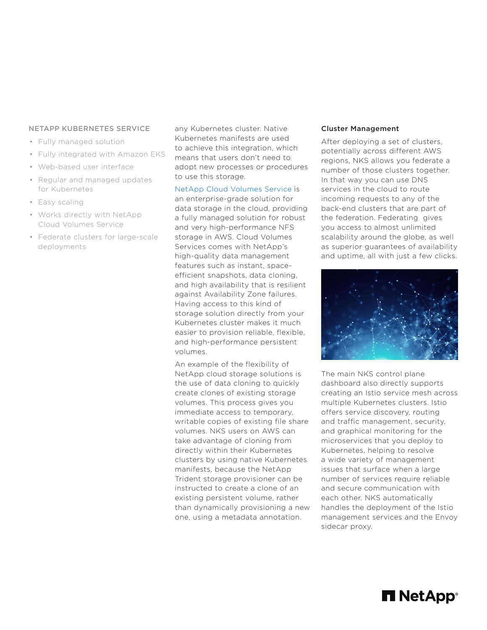#### NETAPP KUBERNETES SERVICE

- Fully managed solution
- Fully integrated with Amazon EKS
- Web-based user interface
- Regular and managed updates for Kubernetes
- Easy scaling
- Works directly with NetApp Cloud Volumes Service
- Federate clusters for large-scale deployments

any Kubernetes cluster. Native Kubernetes manifests are used to achieve this integration, which means that users don't need to adopt new processes or procedures to use this storage.

[NetApp Cloud Volumes Service](https://cloud.netapp.com/cloud-volumes-service-for-aws) is an enterprise-grade solution for data storage in the cloud, providing a fully managed solution for robust and very high-performance NFS storage in AWS. Cloud Volumes Services comes with NetApp's high-quality data management features such as instant, spaceefficient snapshots, data cloning, and high availability that is resilient against Availability Zone failures. Having access to this kind of storage solution directly from your Kubernetes cluster makes it much easier to provision reliable, flexible, and high-performance persistent volumes.

An example of the flexibility of NetApp cloud storage solutions is the use of data cloning to quickly create clones of existing storage volumes. This process gives you immediate access to temporary, writable copies of existing file share volumes. NKS users on AWS can take advantage of cloning from directly within their Kubernetes clusters by using native Kubernetes manifests, because the NetApp Trident storage provisioner can be instructed to create a clone of an existing persistent volume, rather than dynamically provisioning a new one, using a metadata annotation.

#### Cluster Management

After deploying a set of clusters, potentially across different AWS regions, NKS allows you federate a number of those clusters together. In that way you can use DNS services in the cloud to route incoming requests to any of the back-end clusters that are part of the federation. Federating gives you access to almost unlimited scalability around the globe, as well as superior guarantees of availability and uptime, all with just a few clicks.



The main NKS control plane dashboard also directly supports creating an Istio service mesh across multiple Kubernetes clusters. Istio offers service discovery, routing and traffic management, security, and graphical monitoring for the microservices that you deploy to Kubernetes, helping to resolve a wide variety of management issues that surface when a large number of services require reliable and secure communication with each other. NKS automatically handles the deployment of the Istio management services and the Envoy sidecar proxy.